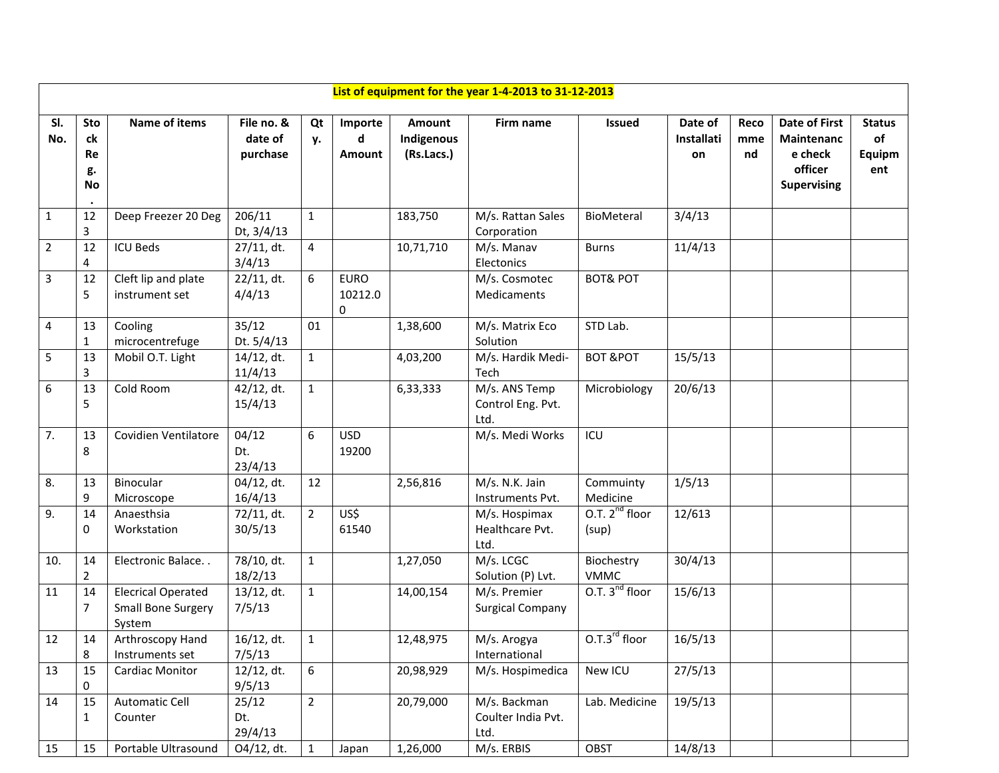|                | List of equipment for the year 1-4-2013 to 31-12-2013 |                                                                  |                                   |                |                             |                                    |                                            |                              |                             |                   |                                                                                       |                                      |  |  |  |
|----------------|-------------------------------------------------------|------------------------------------------------------------------|-----------------------------------|----------------|-----------------------------|------------------------------------|--------------------------------------------|------------------------------|-----------------------------|-------------------|---------------------------------------------------------------------------------------|--------------------------------------|--|--|--|
| SI.<br>No.     | <b>Sto</b><br>ck<br>Re<br>g.<br>No                    | <b>Name of items</b>                                             | File no. &<br>date of<br>purchase | Qt<br>у.       | Importe<br>d<br>Amount      | Amount<br>Indigenous<br>(Rs.Lacs.) | Firm name                                  | <b>Issued</b>                | Date of<br>Installati<br>on | Reco<br>mme<br>nd | <b>Date of First</b><br><b>Maintenanc</b><br>e check<br>officer<br><b>Supervising</b> | <b>Status</b><br>of<br>Equipm<br>ent |  |  |  |
| $\mathbf{1}$   | 12<br>3                                               | Deep Freezer 20 Deg                                              | 206/11<br>Dt, 3/4/13              | $\mathbf{1}$   |                             | 183,750                            | M/s. Rattan Sales<br>Corporation           | BioMeteral                   | 3/4/13                      |                   |                                                                                       |                                      |  |  |  |
| $\overline{2}$ | 12<br>4                                               | <b>ICU Beds</b>                                                  | 27/11, dt.<br>3/4/13              | 4              |                             | 10,71,710                          | M/s. Manav<br>Electonics                   | <b>Burns</b>                 | 11/4/13                     |                   |                                                                                       |                                      |  |  |  |
| 3              | 12<br>5                                               | Cleft lip and plate<br>instrument set                            | 22/11, dt.<br>4/4/13              | 6              | <b>EURO</b><br>10212.0<br>0 |                                    | M/s. Cosmotec<br>Medicaments               | <b>BOT&amp; POT</b>          |                             |                   |                                                                                       |                                      |  |  |  |
| 4              | 13<br>$\mathbf{1}$                                    | Cooling<br>microcentrefuge                                       | 35/12<br>Dt. 5/4/13               | 01             |                             | 1,38,600                           | M/s. Matrix Eco<br>Solution                | STD Lab.                     |                             |                   |                                                                                       |                                      |  |  |  |
| 5              | 13<br>3                                               | Mobil O.T. Light                                                 | 14/12, dt.<br>11/4/13             | $\mathbf{1}$   |                             | 4,03,200                           | M/s. Hardik Medi-<br>Tech                  | <b>BOT &amp;POT</b>          | 15/5/13                     |                   |                                                                                       |                                      |  |  |  |
| 6              | 13<br>5                                               | Cold Room                                                        | 42/12, dt.<br>15/4/13             | $\mathbf{1}$   |                             | 6,33,333                           | M/s. ANS Temp<br>Control Eng. Pvt.<br>Ltd. | Microbiology                 | 20/6/13                     |                   |                                                                                       |                                      |  |  |  |
| 7.             | 13<br>8                                               | Covidien Ventilatore                                             | 04/12<br>Dt.<br>23/4/13           | 6              | <b>USD</b><br>19200         |                                    | M/s. Medi Works                            | ICU                          |                             |                   |                                                                                       |                                      |  |  |  |
| 8.             | 13<br>9                                               | Binocular<br>Microscope                                          | 04/12, dt.<br>16/4/13             | 12             |                             | 2,56,816                           | M/s. N.K. Jain<br>Instruments Pvt.         | Commuinty<br>Medicine        | 1/5/13                      |                   |                                                                                       |                                      |  |  |  |
| 9.             | 14<br>0                                               | Anaesthsia<br>Workstation                                        | 72/11, dt.<br>30/5/13             | $\overline{2}$ | US\$<br>61540               |                                    | M/s. Hospimax<br>Healthcare Pvt.<br>Ltd.   | O.T. $2^{nd}$ floor<br>(sup) | 12/613                      |                   |                                                                                       |                                      |  |  |  |
| 10.            | 14<br>$\overline{2}$                                  | Electronic Balace                                                | 78/10, dt.<br>18/2/13             | $\mathbf{1}$   |                             | 1,27,050                           | M/s. LCGC<br>Solution (P) Lvt.             | Biochestry<br><b>VMMC</b>    | 30/4/13                     |                   |                                                                                       |                                      |  |  |  |
| 11             | 14<br>7                                               | <b>Elecrical Operated</b><br><b>Small Bone Surgery</b><br>System | $13/12$ , dt.<br>7/5/13           | $\mathbf{1}$   |                             | 14,00,154                          | M/s. Premier<br><b>Surgical Company</b>    | O.T. $3^{nd}$ floor          | 15/6/13                     |                   |                                                                                       |                                      |  |  |  |
| 12             | 14<br>8                                               | Arthroscopy Hand<br>Instruments set                              | $16/12$ , dt.<br>7/5/13           | $\mathbf{1}$   |                             | 12,48,975                          | M/s. Arogya<br>International               | $0.7.3rd$ floor              | 16/5/13                     |                   |                                                                                       |                                      |  |  |  |
| 13             | 15<br>0                                               | Cardiac Monitor                                                  | $12/12$ , dt.<br>9/5/13           | 6              |                             | 20,98,929                          | M/s. Hospimedica                           | New ICU                      | 27/5/13                     |                   |                                                                                       |                                      |  |  |  |
| 14             | 15<br>1                                               | <b>Automatic Cell</b><br>Counter                                 | 25/12<br>Dt.<br>29/4/13           | $\overline{2}$ |                             | 20,79,000                          | M/s. Backman<br>Coulter India Pvt.<br>Ltd. | Lab. Medicine                | 19/5/13                     |                   |                                                                                       |                                      |  |  |  |
| 15             | 15                                                    | Portable Ultrasound                                              | O4/12, dt.                        | $\mathbf{1}$   | Japan                       | 1,26,000                           | M/s. ERBIS                                 | OBST                         | 14/8/13                     |                   |                                                                                       |                                      |  |  |  |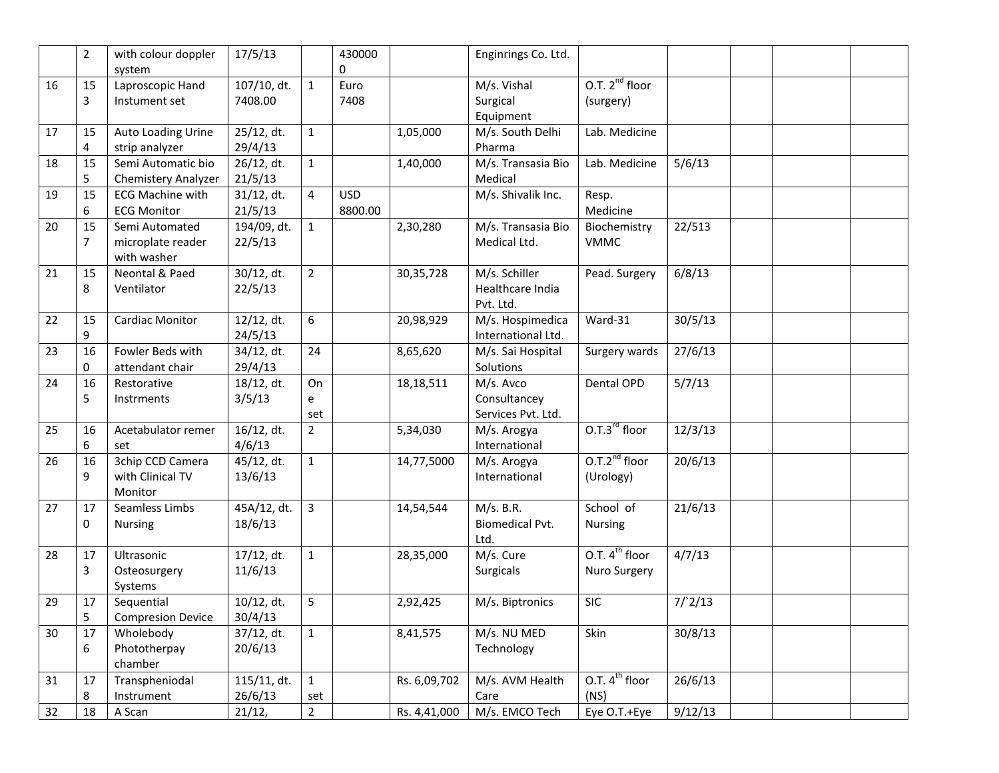|    | $\overline{2}$ | with colour doppler<br>system                      | 17/5/13                   |                     | 430000<br>0           |              | Enginrings Co. Ltd.                              |                                     |         |  |  |
|----|----------------|----------------------------------------------------|---------------------------|---------------------|-----------------------|--------------|--------------------------------------------------|-------------------------------------|---------|--|--|
| 16 | 15<br>3        | Laproscopic Hand<br>Instument set                  | $107/10$ , dt.<br>7408.00 | $\mathbf 1$         | Euro<br>7408          |              | M/s. Vishal<br>Surgical<br>Equipment             | O.T. $2^{nd}$ floor<br>(surgery)    |         |  |  |
| 17 | 15<br>4        | Auto Loading Urine<br>strip analyzer               | 25/12, dt.<br>29/4/13     | $\mathbf{1}$        |                       | 1,05,000     | M/s. South Delhi<br>Pharma                       | Lab. Medicine                       |         |  |  |
| 18 | 15<br>5        | Semi Automatic bio<br>Chemistery Analyzer          | 26/12, dt.<br>21/5/13     | $1\,$               |                       | 1,40,000     | M/s. Transasia Bio<br>Medical                    | Lab. Medicine                       | 5/6/13  |  |  |
| 19 | 15<br>6        | <b>ECG Machine with</b><br><b>ECG Monitor</b>      | 31/12, dt.<br>21/5/13     | 4                   | <b>USD</b><br>8800.00 |              | M/s. Shivalik Inc.                               | Resp.<br>Medicine                   |         |  |  |
| 20 | 15<br>7        | Semi Automated<br>microplate reader<br>with washer | 194/09, dt.<br>22/5/13    | $\mathbf{1}$        |                       | 2,30,280     | $\overline{M}/s$ . Transasia Bio<br>Medical Ltd. | Biochemistry<br><b>VMMC</b>         | 22/513  |  |  |
| 21 | 15<br>8        | Neontal & Paed<br>Ventilator                       | 30/12, dt.<br>22/5/13     | $\overline{2}$      |                       | 30, 35, 728  | M/s. Schiller<br>Healthcare India<br>Pvt. Ltd.   | Pead. Surgery                       | 6/8/13  |  |  |
| 22 | 15<br>9        | Cardiac Monitor                                    | 12/12, dt.<br>24/5/13     | 6                   |                       | 20,98,929    | M/s. Hospimedica<br>International Ltd.           | Ward-31                             | 30/5/13 |  |  |
| 23 | 16<br>0        | Fowler Beds with<br>attendant chair                | 34/12, dt.<br>29/4/13     | 24                  |                       | 8,65,620     | M/s. Sai Hospital<br>Solutions                   | Surgery wards                       | 27/6/13 |  |  |
| 24 | 16<br>5        | Restorative<br>Instrments                          | 18/12, dt.<br>3/5/13      | On<br>e<br>set      |                       | 18, 18, 511  | M/s. Avco<br>Consultancey<br>Services Pvt. Ltd.  | Dental OPD                          | 5/7/13  |  |  |
| 25 | 16<br>6        | Acetabulator remer<br>set                          | 16/12, dt.<br>4/6/13      | $\overline{2}$      |                       | 5,34,030     | M/s. Arogya<br>International                     | $0.7.3^{\text{rd}}$ floor           | 12/3/13 |  |  |
| 26 | 16<br>9        | 3chip CCD Camera<br>with Clinical TV<br>Monitor    | 45/12, dt.<br>13/6/13     | $\mathbf 1$         |                       | 14,77,5000   | M/s. Arogya<br>International                     | $0.7.2nd$ floor<br>(Urology)        | 20/6/13 |  |  |
| 27 | 17<br>0        | Seamless Limbs<br><b>Nursing</b>                   | 45A/12, dt.<br>18/6/13    | $\overline{3}$      |                       | 14,54,544    | M/s. B.R.<br><b>Biomedical Pvt.</b><br>Ltd.      | School of<br><b>Nursing</b>         | 21/6/13 |  |  |
| 28 | 17<br>3        | Ultrasonic<br>Osteosurgery<br>Systems              | $17/12$ , dt.<br>11/6/13  | $\mathbf{1}$        |                       | 28,35,000    | M/s. Cure<br><b>Surgicals</b>                    | O.T. $4^{th}$ floor<br>Nuro Surgery | 4/7/13  |  |  |
| 29 | 17<br>5        | Sequential<br><b>Compresion Device</b>             | $10/12$ , dt.<br>30/4/13  | 5                   |                       | 2,92,425     | M/s. Biptronics                                  | <b>SIC</b>                          | 7/2/13  |  |  |
| 30 | 17<br>6        | Wholebody<br>Phototherpay<br>chamber               | 37/12, dt.<br>20/6/13     | $\mathbf 1$         |                       | 8,41,575     | M/s. NU MED<br>Technology                        | Skin                                | 30/8/13 |  |  |
| 31 | 17<br>8        | Transpheniodal<br>Instrument                       | 115/11, dt.<br>26/6/13    | $\mathbf{1}$<br>set |                       | Rs. 6,09,702 | M/s. AVM Health<br>Care                          | O.T. 4 <sup>th</sup> floor<br>(NS)  | 26/6/13 |  |  |
| 32 | 18             | A Scan                                             | 21/12,                    | $\overline{2}$      |                       | Rs. 4,41,000 | M/s. EMCO Tech                                   | Eye O.T.+Eye                        | 9/12/13 |  |  |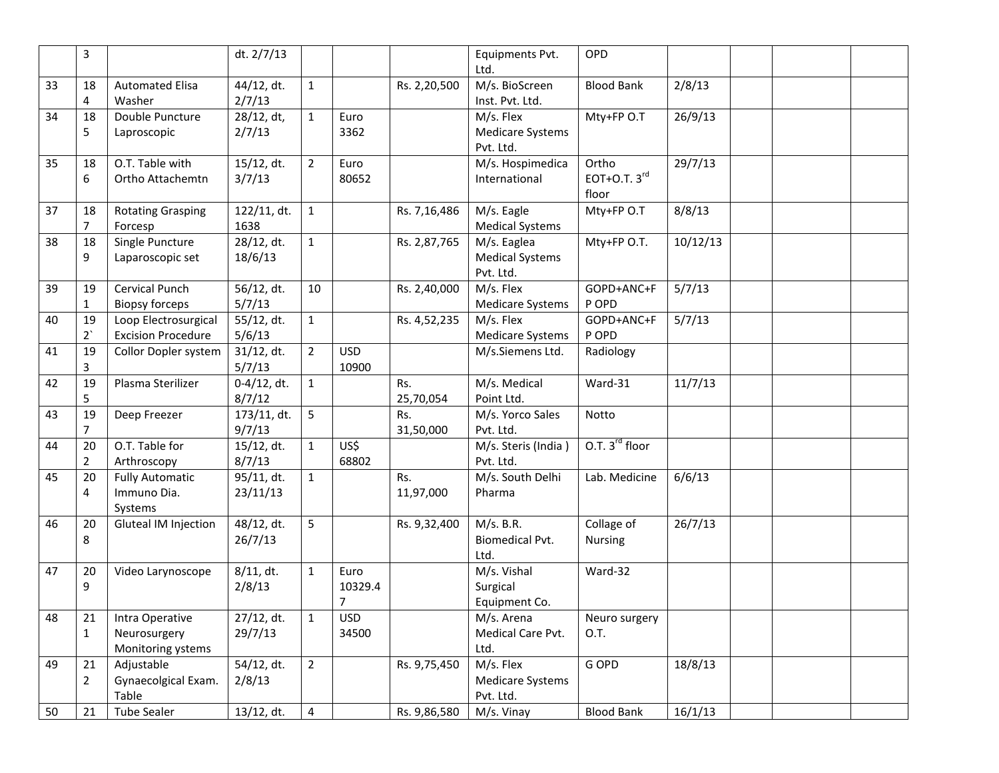|    | 3                    |                                                      | dt. 2/7/13                          |                |                      |                  | Equipments Pvt.<br>Ltd.                            | OPD                                        |          |  |  |
|----|----------------------|------------------------------------------------------|-------------------------------------|----------------|----------------------|------------------|----------------------------------------------------|--------------------------------------------|----------|--|--|
| 33 | 18<br>4              | <b>Automated Elisa</b><br>Washer                     | 44/12, dt.<br>2/7/13                | $\mathbf{1}$   |                      | Rs. 2,20,500     | M/s. BioScreen<br>Inst. Pvt. Ltd.                  | <b>Blood Bank</b>                          | 2/8/13   |  |  |
| 34 | 18<br>5              | Double Puncture<br>Laproscopic                       | 28/12, dt,<br>2/7/13                | $1\,$          | Euro<br>3362         |                  | M/s. Flex<br><b>Medicare Systems</b><br>Pvt. Ltd.  | Mty+FP O.T                                 | 26/9/13  |  |  |
| 35 | 18<br>6              | O.T. Table with<br>Ortho Attachemtn                  | 15/12, dt.<br>3/7/13                | $\overline{2}$ | Euro<br>80652        |                  | M/s. Hospimedica<br>International                  | Ortho<br>EOT+O.T. $3^{\text{rd}}$<br>floor | 29/7/13  |  |  |
| 37 | 18<br>7              | <b>Rotating Grasping</b><br>Forcesp                  | 122/11, dt.<br>1638                 | $\mathbf{1}$   |                      | Rs. 7,16,486     | M/s. Eagle<br><b>Medical Systems</b>               | Mty+FP O.T                                 | 8/8/13   |  |  |
| 38 | 18<br>9              | Single Puncture<br>Laparoscopic set                  | 28/12, dt.<br>18/6/13               | $1\,$          |                      | Rs. 2,87,765     | M/s. Eaglea<br><b>Medical Systems</b><br>Pvt. Ltd. | Mty+FP O.T.                                | 10/12/13 |  |  |
| 39 | 19<br>1              | Cervical Punch<br><b>Biopsy forceps</b>              | 56/12, dt.<br>5/7/13                | 10             |                      | Rs. 2,40,000     | M/s. Flex<br><b>Medicare Systems</b>               | GOPD+ANC+F<br>P OPD                        | 5/7/13   |  |  |
| 40 | 19<br>$2^{\prime}$   | Loop Electrosurgical<br><b>Excision Procedure</b>    | 55/12, dt.<br>5/6/13                | $\mathbf 1$    |                      | Rs. 4,52,235     | M/s. Flex<br><b>Medicare Systems</b>               | GOPD+ANC+F<br>P OPD                        | 5/7/13   |  |  |
| 41 | 19<br>3              | Collor Dopler system                                 | $\frac{1}{3}$ 1/12, dt.<br>5/7/13   | $\overline{2}$ | <b>USD</b><br>10900  |                  | M/s.Siemens Ltd.                                   | Radiology                                  |          |  |  |
| 42 | 19<br>5              | Plasma Sterilizer                                    | $0-4/12$ , dt.<br>8/7/12            | $\mathbf{1}$   |                      | Rs.<br>25,70,054 | M/s. Medical<br>Point Ltd.                         | Ward-31                                    | 11/7/13  |  |  |
| 43 | 19<br>$\overline{7}$ | Deep Freezer                                         | 173/11, dt.<br>9/7/13               | 5              |                      | Rs.<br>31,50,000 | M/s. Yorco Sales<br>Pvt. Ltd.                      | Notto                                      |          |  |  |
| 44 | 20<br>$\overline{2}$ | O.T. Table for<br>Arthroscopy                        | 15/12, dt.<br>8/7/13                | $1\,$          | US\$<br>68802        |                  | M/s. Steris (India)<br>Pvt. Ltd.                   | O.T. 3 <sup>rd</sup> floor                 |          |  |  |
| 45 | 20<br>4              | <b>Fully Automatic</b><br>Immuno Dia.<br>Systems     | 95/11, dt.<br>23/11/13              | $\mathbf{1}$   |                      | Rs.<br>11,97,000 | M/s. South Delhi<br>Pharma                         | Lab. Medicine                              | 6/6/13   |  |  |
| 46 | 20<br>8              | Gluteal IM Injection                                 | $\frac{1}{48}{12}$ , dt.<br>26/7/13 | 5              |                      | Rs. 9,32,400     | M/s. B.R.<br><b>Biomedical Pvt.</b><br>Ltd.        | Collage of<br>Nursing                      | 26/7/13  |  |  |
| 47 | 20<br>9              | Video Larynoscope                                    | $8/11$ , dt.<br>2/8/13              | $\mathbf{1}$   | Euro<br>10329.4<br>7 |                  | M/s. Vishal<br>Surgical<br>Equipment Co.           | Ward-32                                    |          |  |  |
| 48 | 21<br>$\mathbf{1}$   | Intra Operative<br>Neurosurgery<br>Monitoring ystems | 27/12, dt.<br>29/7/13               | $\mathbf{1}$   | <b>USD</b><br>34500  |                  | M/s. Arena<br>Medical Care Pvt.<br>Ltd.            | Neuro surgery<br>O.T.                      |          |  |  |
| 49 | 21<br>2              | Adjustable<br>Gynaecolgical Exam.<br>Table           | 54/12, dt.<br>2/8/13                | $\overline{2}$ |                      | Rs. 9,75,450     | M/s. Flex<br><b>Medicare Systems</b><br>Pvt. Ltd.  | G OPD                                      | 18/8/13  |  |  |
| 50 | 21                   | <b>Tube Sealer</b>                                   | 13/12, dt.                          | 4              |                      | Rs. 9,86,580     | M/s. Vinay                                         | <b>Blood Bank</b>                          | 16/1/13  |  |  |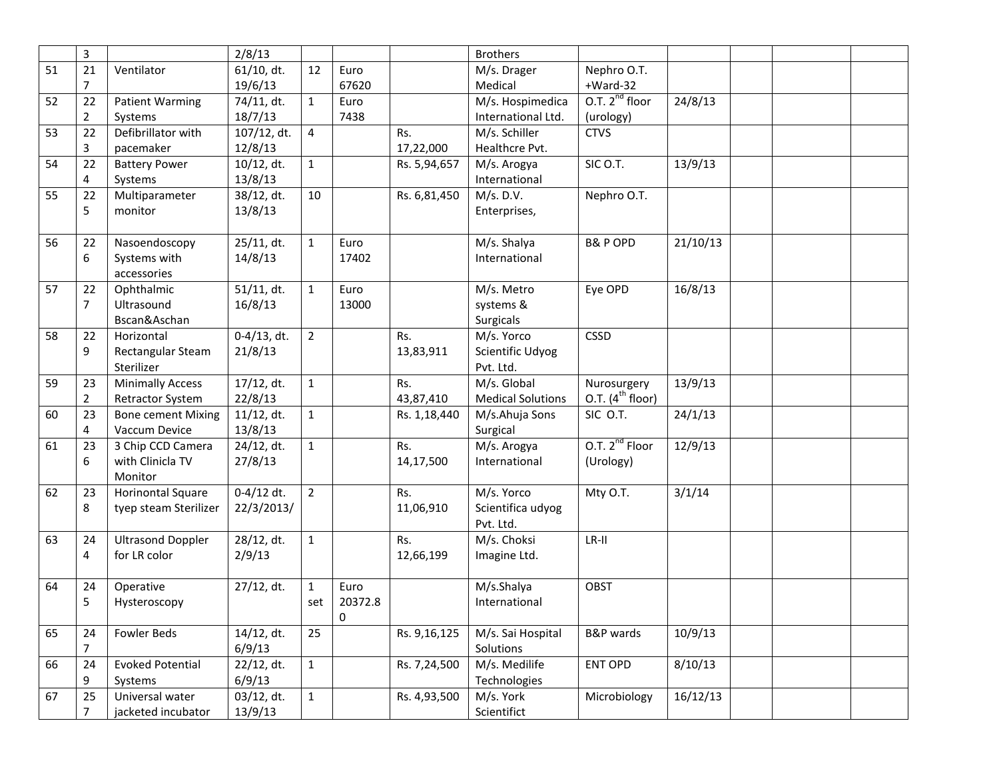|    | 3              |                           | 2/8/13         |                |         |              | <b>Brothers</b>          |                            |          |  |  |
|----|----------------|---------------------------|----------------|----------------|---------|--------------|--------------------------|----------------------------|----------|--|--|
| 51 | 21             | Ventilator                | $61/10$ , dt.  | 12             | Euro    |              | M/s. Drager              | Nephro O.T.                |          |  |  |
|    | 7              |                           | 19/6/13        |                | 67620   |              | Medical                  | $+Ward-32$                 |          |  |  |
| 52 | 22             | <b>Patient Warming</b>    | 74/11, dt.     | $\mathbf{1}$   | Euro    |              | M/s. Hospimedica         | O.T. $2^{nd}$ floor        | 24/8/13  |  |  |
|    | 2              | Systems                   | 18/7/13        |                | 7438    |              | International Ltd.       | (urology)                  |          |  |  |
| 53 | 22             | Defibrillator with        | 107/12, dt.    | 4              |         | Rs.          | M/s. Schiller            | <b>CTVS</b>                |          |  |  |
|    | 3              | pacemaker                 | 12/8/13        |                |         | 17,22,000    | Healthcre Pvt.           |                            |          |  |  |
| 54 | 22             | <b>Battery Power</b>      | $10/12$ , dt.  | $\mathbf{1}$   |         | Rs. 5,94,657 | M/s. Arogya              | SIC O.T.                   | 13/9/13  |  |  |
|    | 4              | Systems                   | 13/8/13        |                |         |              | International            |                            |          |  |  |
| 55 | 22             | Multiparameter            | 38/12, dt.     | 10             |         | Rs. 6,81,450 | M/s. D.V.                | Nephro O.T.                |          |  |  |
|    | 5              | monitor                   | 13/8/13        |                |         |              | Enterprises,             |                            |          |  |  |
|    |                |                           |                |                |         |              |                          |                            |          |  |  |
| 56 | 22             | Nasoendoscopy             | 25/11, dt.     | $\mathbf{1}$   | Euro    |              | M/s. Shalya              | <b>B&amp;P OPD</b>         | 21/10/13 |  |  |
|    | 6              | Systems with              | 14/8/13        |                | 17402   |              | International            |                            |          |  |  |
|    |                | accessories               |                |                |         |              |                          |                            |          |  |  |
| 57 | 22             | Ophthalmic                | $51/11$ , dt.  | $\mathbf{1}$   | Euro    |              | M/s. Metro               | Eye OPD                    | 16/8/13  |  |  |
|    | 7              | Ultrasound                | 16/8/13        |                | 13000   |              | systems &                |                            |          |  |  |
|    |                | Bscan&Aschan              |                |                |         |              | Surgicals                |                            |          |  |  |
| 58 | 22             | Horizontal                | $0-4/13$ , dt. | $\overline{2}$ |         | Rs.          | M/s. Yorco               | <b>CSSD</b>                |          |  |  |
|    | 9              | Rectangular Steam         | 21/8/13        |                |         | 13,83,911    | Scientific Udyog         |                            |          |  |  |
|    |                | Sterilizer                |                |                |         |              | Pvt. Ltd.                |                            |          |  |  |
| 59 | 23             | <b>Minimally Access</b>   | 17/12, dt.     | $\mathbf{1}$   |         | Rs.          | M/s. Global              | Nurosurgery                | 13/9/13  |  |  |
|    | $\overline{2}$ | Retractor System          | 22/8/13        |                |         | 43,87,410    | <b>Medical Solutions</b> | O.T. $(4^{th}$ floor)      |          |  |  |
| 60 | 23             | <b>Bone cement Mixing</b> | $11/12$ , dt.  | $\mathbf{1}$   |         | Rs. 1,18,440 | M/s.Ahuja Sons           | SIC O.T.                   | 24/1/13  |  |  |
|    | 4              | Vaccum Device             | 13/8/13        |                |         |              | Surgical                 |                            |          |  |  |
| 61 | 23             | 3 Chip CCD Camera         | 24/12, dt.     | $\mathbf{1}$   |         | Rs.          | M/s. Arogya              | O.T. 2 <sup>nd</sup> Floor | 12/9/13  |  |  |
|    | 6              | with Clinicla TV          | 27/8/13        |                |         | 14,17,500    | International            | (Urology)                  |          |  |  |
|    |                | Monitor                   |                |                |         |              |                          |                            |          |  |  |
| 62 | 23             | <b>Horinontal Square</b>  | $0-4/12$ dt.   | $\overline{2}$ |         | Rs.          | M/s. Yorco               | Mty O.T.                   | 3/1/14   |  |  |
|    | 8              | tyep steam Sterilizer     | 22/3/2013/     |                |         | 11,06,910    | Scientifica udyog        |                            |          |  |  |
|    |                |                           |                |                |         |              | Pvt. Ltd.                |                            |          |  |  |
| 63 | 24             | <b>Ultrasond Doppler</b>  | 28/12, dt.     | $1\,$          |         | Rs.          | M/s. Choksi              | LR-II                      |          |  |  |
|    | 4              | for LR color              | 2/9/13         |                |         | 12,66,199    | Imagine Ltd.             |                            |          |  |  |
|    |                |                           |                |                |         |              |                          |                            |          |  |  |
| 64 | 24             | Operative                 | 27/12, dt.     | $\mathbf{1}$   | Euro    |              | M/s.Shalya               | <b>OBST</b>                |          |  |  |
|    | 5              | Hysteroscopy              |                | set            | 20372.8 |              | International            |                            |          |  |  |
|    |                |                           |                |                | 0       |              |                          |                            |          |  |  |
| 65 | 24             | Fowler Beds               | 14/12, dt.     | 25             |         | Rs. 9,16,125 | M/s. Sai Hospital        | B&P wards                  | 10/9/13  |  |  |
|    | 7              |                           | 6/9/13         |                |         |              | Solutions                |                            |          |  |  |
| 66 | 24             | <b>Evoked Potential</b>   | 22/12, dt.     | $\mathbf{1}$   |         | Rs. 7,24,500 | M/s. Medilife            | ENT OPD                    | 8/10/13  |  |  |
|    | 9              | Systems                   | 6/9/13         |                |         |              | Technologies             |                            |          |  |  |
| 67 | 25             | Universal water           | 03/12, dt.     | $\mathbf{1}$   |         | Rs. 4,93,500 | M/s. York                | Microbiology               | 16/12/13 |  |  |
|    | 7              | jacketed incubator        | 13/9/13        |                |         |              | Scientifict              |                            |          |  |  |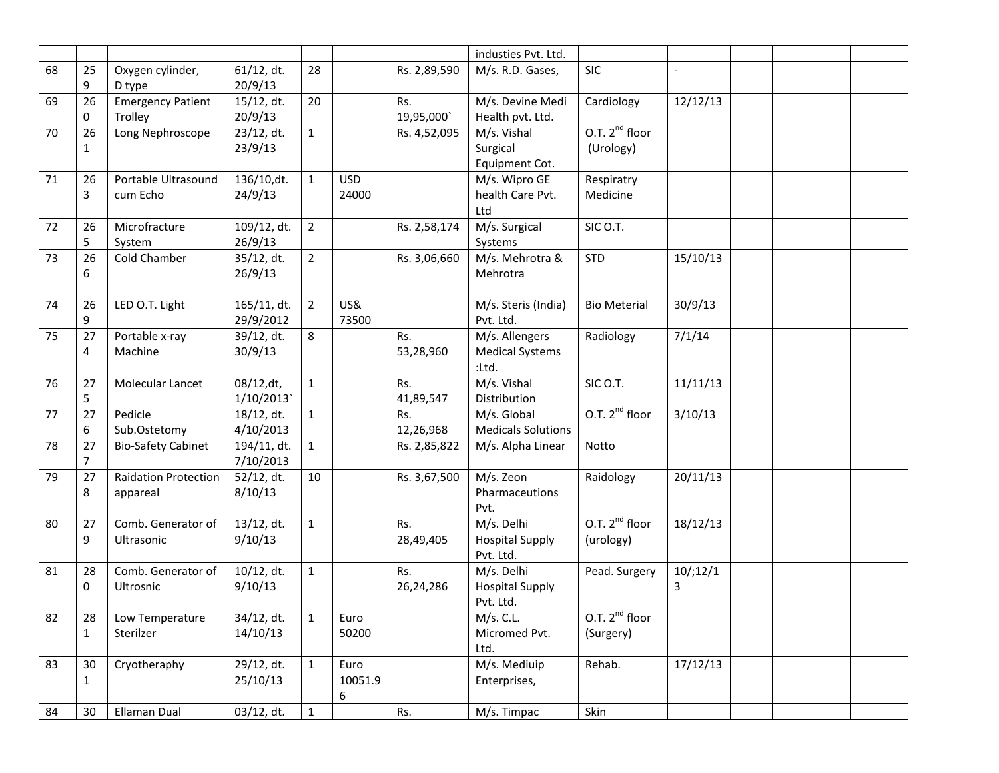|    |                |                             |               |                |            |              | industies Pvt. Ltd.       |                     |                          |  |  |
|----|----------------|-----------------------------|---------------|----------------|------------|--------------|---------------------------|---------------------|--------------------------|--|--|
| 68 | 25             | Oxygen cylinder,            | $61/12$ , dt. | 28             |            | Rs. 2,89,590 | M/s. R.D. Gases,          | <b>SIC</b>          | $\overline{\phantom{a}}$ |  |  |
|    | 9              | D type                      | 20/9/13       |                |            |              |                           |                     |                          |  |  |
| 69 | 26             | <b>Emergency Patient</b>    | 15/12, dt.    | 20             |            | Rs.          | M/s. Devine Medi          | Cardiology          | 12/12/13                 |  |  |
|    | 0              | Trolley                     | 20/9/13       |                |            | 19,95,000    | Health pvt. Ltd.          |                     |                          |  |  |
| 70 | 26             | Long Nephroscope            | 23/12, dt.    | $\mathbf{1}$   |            | Rs. 4,52,095 | M/s. Vishal               | O.T. $2^{nd}$ floor |                          |  |  |
|    | $\mathbf{1}$   |                             | 23/9/13       |                |            |              | Surgical                  | (Urology)           |                          |  |  |
|    |                |                             |               |                |            |              | Equipment Cot.            |                     |                          |  |  |
| 71 | 26             | Portable Ultrasound         | 136/10,dt.    | $\mathbf{1}$   | <b>USD</b> |              | M/s. Wipro GE             | Respiratry          |                          |  |  |
|    | 3              | cum Echo                    | 24/9/13       |                | 24000      |              | health Care Pvt.          | Medicine            |                          |  |  |
|    |                |                             |               |                |            |              | Ltd                       |                     |                          |  |  |
| 72 | 26             | Microfracture               | 109/12, dt.   | 2              |            | Rs. 2,58,174 | M/s. Surgical             | SIC O.T.            |                          |  |  |
|    | 5              | System                      | 26/9/13       |                |            |              | Systems                   |                     |                          |  |  |
| 73 | 26             | Cold Chamber                | 35/12, dt.    | $\overline{2}$ |            | Rs. 3,06,660 | M/s. Mehrotra &           | <b>STD</b>          | 15/10/13                 |  |  |
|    | 6              |                             | 26/9/13       |                |            |              | Mehrotra                  |                     |                          |  |  |
|    |                |                             |               |                |            |              |                           |                     |                          |  |  |
| 74 | 26             | LED O.T. Light              | 165/11, dt.   | $\overline{2}$ | US&        |              | M/s. Steris (India)       | <b>Bio Meterial</b> | 30/9/13                  |  |  |
|    | 9              |                             | 29/9/2012     |                | 73500      |              | Pvt. Ltd.                 |                     |                          |  |  |
| 75 | 27             | Portable x-ray              | 39/12, dt.    | 8              |            | Rs.          | M/s. Allengers            | Radiology           | 7/1/14                   |  |  |
|    | 4              | Machine                     | 30/9/13       |                |            | 53,28,960    | <b>Medical Systems</b>    |                     |                          |  |  |
|    |                |                             |               |                |            |              | :Ltd.                     |                     |                          |  |  |
| 76 | 27             | Molecular Lancet            | 08/12, dt,    | $\mathbf{1}$   |            | Rs.          | M/s. Vishal               | SIC O.T.            | 11/11/13                 |  |  |
|    | 5              |                             | 1/10/2013     |                |            | 41,89,547    | Distribution              |                     |                          |  |  |
| 77 | 27             | Pedicle                     | 18/12, dt.    | $\mathbf{1}$   |            | Rs.          | M/s. Global               | O.T. $2^{nd}$ floor | 3/10/13                  |  |  |
|    | 6              | Sub.Ostetomy                | 4/10/2013     |                |            | 12,26,968    | <b>Medicals Solutions</b> |                     |                          |  |  |
| 78 | 27             | <b>Bio-Safety Cabinet</b>   | 194/11, dt.   | $\mathbf{1}$   |            | Rs. 2,85,822 | M/s. Alpha Linear         | Notto               |                          |  |  |
|    | $\overline{7}$ |                             | 7/10/2013     |                |            |              |                           |                     |                          |  |  |
| 79 | 27             | <b>Raidation Protection</b> | 52/12, dt.    | 10             |            | Rs. 3,67,500 | M/s. Zeon                 | Raidology           | 20/11/13                 |  |  |
|    | 8              | appareal                    | 8/10/13       |                |            |              | Pharmaceutions            |                     |                          |  |  |
|    |                |                             |               |                |            |              | Pvt.                      |                     |                          |  |  |
| 80 | 27             | Comb. Generator of          | 13/12, dt.    | $\mathbf{1}$   |            | Rs.          | M/s. Delhi                | O.T. $2^{nd}$ floor | 18/12/13                 |  |  |
|    | 9              | Ultrasonic                  | 9/10/13       |                |            | 28,49,405    | <b>Hospital Supply</b>    | (urology)           |                          |  |  |
|    |                |                             |               |                |            |              | Pvt. Ltd.                 |                     |                          |  |  |
| 81 | 28             | Comb. Generator of          | $10/12$ , dt. | $\mathbf{1}$   |            | Rs.          | M/s. Delhi                | Pead. Surgery       | 10/12/1                  |  |  |
|    | 0              | Ultrosnic                   | 9/10/13       |                |            | 26,24,286    | <b>Hospital Supply</b>    |                     | 3                        |  |  |
|    |                |                             |               |                |            |              | Pvt. Ltd.                 |                     |                          |  |  |
| 82 | 28             | Low Temperature             | 34/12, dt.    | $\mathbf{1}$   | Euro       |              | M/s. C.L.                 | O.T. $2^{nd}$ floor |                          |  |  |
|    | $\mathbf{1}$   | Sterilzer                   | 14/10/13      |                | 50200      |              | Micromed Pvt.             | (Surgery)           |                          |  |  |
|    |                |                             |               |                |            |              | Ltd.                      |                     |                          |  |  |
| 83 | 30             | Cryotheraphy                | 29/12, dt.    | $\mathbf{1}$   | Euro       |              | M/s. Mediuip              | Rehab.              | 17/12/13                 |  |  |
|    | $\mathbf{1}$   |                             | 25/10/13      |                | 10051.9    |              | Enterprises,              |                     |                          |  |  |
|    |                |                             |               |                | 6          |              |                           |                     |                          |  |  |
| 84 | 30             | Ellaman Dual                | 03/12, dt.    | $\mathbf{1}$   |            | Rs.          | M/s. Timpac               | Skin                |                          |  |  |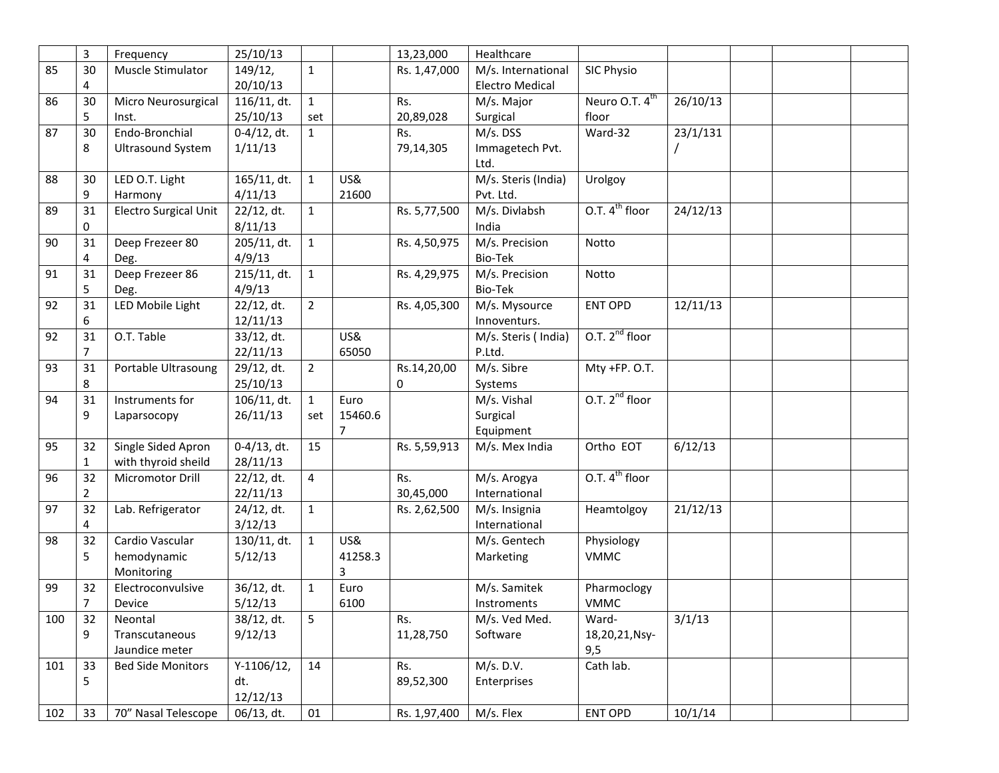|     | 3              | Frequency                    | 25/10/13       |                |         | 13,23,000    | Healthcare             |                            |          |  |  |
|-----|----------------|------------------------------|----------------|----------------|---------|--------------|------------------------|----------------------------|----------|--|--|
| 85  | 30             | Muscle Stimulator            | 149/12,        | $\mathbf{1}$   |         | Rs. 1,47,000 | M/s. International     | <b>SIC Physio</b>          |          |  |  |
|     | 4              |                              | 20/10/13       |                |         |              | <b>Electro Medical</b> |                            |          |  |  |
| 86  | 30             | Micro Neurosurgical          | 116/11, dt.    | $\mathbf{1}$   |         | Rs.          | M/s. Major             | Neuro O.T. 4 <sup>th</sup> | 26/10/13 |  |  |
|     | 5              | Inst.                        | 25/10/13       | set            |         | 20,89,028    | Surgical               | floor                      |          |  |  |
| 87  | 30             | Endo-Bronchial               | $0-4/12$ , dt. | $\mathbf{1}$   |         | Rs.          | M/s. DSS               | Ward-32                    | 23/1/131 |  |  |
|     | 8              | <b>Ultrasound System</b>     | 1/11/13        |                |         | 79,14,305    | Immagetech Pvt.        |                            |          |  |  |
|     |                |                              |                |                |         |              | Ltd.                   |                            |          |  |  |
| 88  | 30             | LED O.T. Light               | 165/11, dt.    | $\mathbf{1}$   | US&     |              | M/s. Steris (India)    | Urolgoy                    |          |  |  |
|     | 9              | Harmony                      | 4/11/13        |                | 21600   |              | Pvt. Ltd.              |                            |          |  |  |
| 89  | 31             | <b>Electro Surgical Unit</b> | 22/12, dt.     | 1              |         | Rs. 5,77,500 | M/s. Divlabsh          | O.T. 4 <sup>th</sup> floor | 24/12/13 |  |  |
|     | 0              |                              | 8/11/13        |                |         |              | India                  |                            |          |  |  |
| 90  | 31             | Deep Frezeer 80              | 205/11, dt.    | $\mathbf{1}$   |         | Rs. 4,50,975 | M/s. Precision         | Notto                      |          |  |  |
|     | 4              | Deg.                         | 4/9/13         |                |         |              | Bio-Tek                |                            |          |  |  |
| 91  | 31             | Deep Frezeer 86              | 215/11, dt.    | $\mathbf{1}$   |         | Rs. 4,29,975 | M/s. Precision         | Notto                      |          |  |  |
|     | 5              | Deg.                         | 4/9/13         |                |         |              | Bio-Tek                |                            |          |  |  |
| 92  | 31             | LED Mobile Light             | 22/12, dt.     | $\overline{2}$ |         | Rs. 4,05,300 | M/s. Mysource          | ENT OPD                    | 12/11/13 |  |  |
|     | 6              |                              | 12/11/13       |                |         |              | Innoventurs.           |                            |          |  |  |
| 92  | 31             | O.T. Table                   | 33/12, dt.     |                | US&     |              | M/s. Steris (India)    | O.T. $2^{nd}$ floor        |          |  |  |
|     | $\overline{7}$ |                              | 22/11/13       |                | 65050   |              | P.Ltd.                 |                            |          |  |  |
| 93  | 31             | Portable Ultrasoung          | 29/12, dt.     | $\overline{2}$ |         | Rs.14,20,00  | M/s. Sibre             | Mty +FP. O.T.              |          |  |  |
|     | 8              |                              | 25/10/13       |                |         | 0            | Systems                |                            |          |  |  |
| 94  | 31             | Instruments for              | 106/11, dt.    | $\mathbf{1}$   | Euro    |              | M/s. Vishal            | O.T. $2^{nd}$ floor        |          |  |  |
|     | 9              | Laparsocopy                  | 26/11/13       | set            | 15460.6 |              | Surgical               |                            |          |  |  |
|     |                |                              |                |                | 7       |              | Equipment              |                            |          |  |  |
| 95  | 32             | Single Sided Apron           | $0-4/13$ , dt. | 15             |         | Rs. 5,59,913 | M/s. Mex India         | Ortho EOT                  | 6/12/13  |  |  |
|     | 1              | with thyroid sheild          | 28/11/13       |                |         |              |                        |                            |          |  |  |
| 96  | 32             | Micromotor Drill             | 22/12, dt.     | 4              |         | Rs.          | M/s. Arogya            | O.T. $4^{\text{th}}$ floor |          |  |  |
|     | $\overline{2}$ |                              | 22/11/13       |                |         | 30,45,000    | International          |                            |          |  |  |
| 97  | 32             | Lab. Refrigerator            | 24/12, dt.     | $\mathbf{1}$   |         | Rs. 2,62,500 | M/s. Insignia          | Heamtolgoy                 | 21/12/13 |  |  |
|     | 4              |                              | 3/12/13        |                |         |              | International          |                            |          |  |  |
| 98  | 32             | Cardio Vascular              | 130/11, dt.    | $\mathbf{1}$   | US&     |              | M/s. Gentech           | Physiology                 |          |  |  |
|     | 5              | hemodynamic                  | 5/12/13        |                | 41258.3 |              | Marketing              | <b>VMMC</b>                |          |  |  |
|     |                | Monitoring                   |                |                | 3       |              |                        |                            |          |  |  |
| 99  | 32             | Electroconvulsive            | 36/12, dt.     | $\mathbf{1}$   | Euro    |              | M/s. Samitek           | Pharmoclogy                |          |  |  |
|     | $\overline{7}$ | Device                       | 5/12/13        |                | 6100    |              | Instroments            | <b>VMMC</b>                |          |  |  |
| 100 | 32             | Neontal                      | 38/12, dt.     | 5              |         | Rs.          | M/s. Ved Med.          | Ward-                      | 3/1/13   |  |  |
|     | 9              | Transcutaneous               | 9/12/13        |                |         | 11,28,750    | Software               | 18,20,21,Nsy-              |          |  |  |
|     |                | Jaundice meter               |                |                |         |              |                        | 9,5                        |          |  |  |
| 101 | 33             | <b>Bed Side Monitors</b>     | $Y-1106/12,$   | 14             |         | Rs.          | M/s. D.V.              | Cath lab.                  |          |  |  |
|     | 5              |                              | dt.            |                |         | 89,52,300    | Enterprises            |                            |          |  |  |
|     |                |                              | 12/12/13       |                |         |              |                        |                            |          |  |  |
| 102 | 33             | 70" Nasal Telescope          | 06/13, dt.     | 01             |         | Rs. 1,97,400 | M/s. Flex              | <b>ENT OPD</b>             | 10/1/14  |  |  |